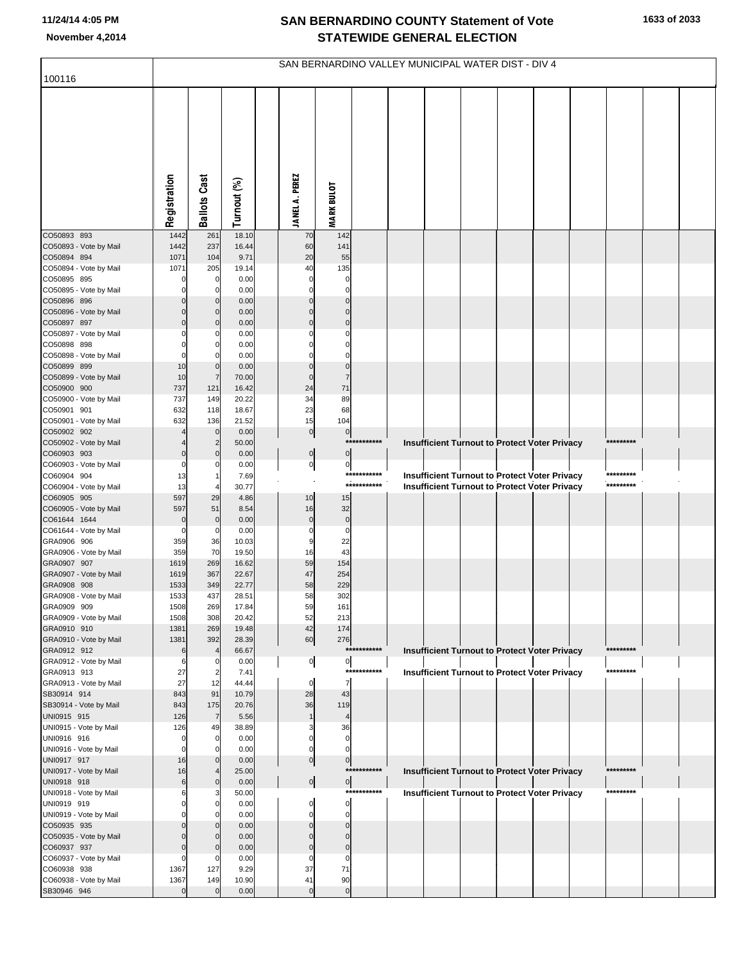|                                       | SAN BERNARDINO VALLEY MUNICIPAL WATER DIST - DIV 4 |                     |                |  |                               |                         |                            |  |                                                      |  |  |  |  |                        |  |  |
|---------------------------------------|----------------------------------------------------|---------------------|----------------|--|-------------------------------|-------------------------|----------------------------|--|------------------------------------------------------|--|--|--|--|------------------------|--|--|
| 100116                                |                                                    |                     |                |  |                               |                         |                            |  |                                                      |  |  |  |  |                        |  |  |
|                                       | Registration                                       | <b>Ballots Cast</b> | Turnout (%)    |  | <b>JANEL A. PEREZ</b>         | <b>MARK BULOT</b>       |                            |  |                                                      |  |  |  |  |                        |  |  |
| CO50893 893                           | 1442                                               | 261                 | 18.10          |  | 70                            | 142                     |                            |  |                                                      |  |  |  |  |                        |  |  |
| CO50893 - Vote by Mail                | 1442                                               | 237                 | 16.44          |  | 60                            | 141                     |                            |  |                                                      |  |  |  |  |                        |  |  |
| CO50894 894<br>CO50894 - Vote by Mail | 1071<br>1071                                       | 104<br>205          | 9.71<br>19.14  |  | 20<br>40                      | 55<br>135               |                            |  |                                                      |  |  |  |  |                        |  |  |
| CO50895 895                           |                                                    | 0                   | 0.00           |  | $\mathbf 0$                   | 0                       |                            |  |                                                      |  |  |  |  |                        |  |  |
| CO50895 - Vote by Mail                |                                                    | 0                   | 0.00           |  | $\mathbf 0$                   | $\Omega$                |                            |  |                                                      |  |  |  |  |                        |  |  |
| CO50896 896                           |                                                    | $\mathbf 0$         | 0.00           |  | $\overline{0}$                | $\Omega$                |                            |  |                                                      |  |  |  |  |                        |  |  |
| CO50896 - Vote by Mail                |                                                    | 0                   | 0.00           |  | $\pmb{0}$                     | $\mathbf 0$             |                            |  |                                                      |  |  |  |  |                        |  |  |
| CO50897 897                           | $\Omega$                                           | $\mathbf 0$         | 0.00           |  | $\mathbf 0$                   | $\mathbf 0$             |                            |  |                                                      |  |  |  |  |                        |  |  |
| CO50897 - Vote by Mail                |                                                    | C<br>0              | 0.00           |  | $\mathbf 0$<br>$\mathbf 0$    | 0<br>$\Omega$           |                            |  |                                                      |  |  |  |  |                        |  |  |
| CO50898 898<br>CO50898 - Vote by Mail |                                                    | C                   | 0.00<br>0.00   |  | 0                             | $\Omega$                |                            |  |                                                      |  |  |  |  |                        |  |  |
| CO50899 899                           | 10                                                 | $\mathbf 0$         | 0.00           |  | $\mathbf 0$                   | $\mathbf 0$             |                            |  |                                                      |  |  |  |  |                        |  |  |
| CO50899 - Vote by Mail                | 10                                                 | $\overline{7}$      | 70.00          |  | $\mathbf 0$                   | $\overline{7}$          |                            |  |                                                      |  |  |  |  |                        |  |  |
| CO50900 900                           | 737                                                | 121                 | 16.42          |  | 24                            | 71                      |                            |  |                                                      |  |  |  |  |                        |  |  |
| CO50900 - Vote by Mail                | 737                                                | 149                 | 20.22          |  | 34                            | 89                      |                            |  |                                                      |  |  |  |  |                        |  |  |
| CO50901 901<br>CO50901 - Vote by Mail | 632<br>632                                         | 118                 | 18.67<br>21.52 |  | 23<br>15                      | 68                      |                            |  |                                                      |  |  |  |  |                        |  |  |
| CO50902 902                           |                                                    | 136<br>$\mathbf 0$  | 0.00           |  | $\overline{0}$                | 104<br>$\pmb{0}$        |                            |  |                                                      |  |  |  |  |                        |  |  |
| CO50902 - Vote by Mail                |                                                    | $\overline{2}$      | 50.00          |  |                               |                         | ***********                |  | <b>Insufficient Turnout to Protect Voter Privacy</b> |  |  |  |  | *********              |  |  |
| CO60903 903                           | $\mathbf 0$                                        | $\mathbf 0$         | 0.00           |  | $\overline{0}$                | $\bf{0}$                |                            |  |                                                      |  |  |  |  |                        |  |  |
| CO60903 - Vote by Mail                | 0                                                  | C                   | 0.00           |  | $\circ$                       | $\pmb{0}$               |                            |  |                                                      |  |  |  |  |                        |  |  |
| CO60904 904                           | 13                                                 | -1                  | 7.69           |  |                               |                         | ***********<br>*********** |  | <b>Insufficient Turnout to Protect Voter Privacy</b> |  |  |  |  | *********<br>********* |  |  |
| CO60904 - Vote by Mail<br>CO60905 905 | 13<br>597                                          | 29                  | 30.77<br>4.86  |  | 10                            | 15                      |                            |  | <b>Insufficient Turnout to Protect Voter Privacy</b> |  |  |  |  |                        |  |  |
| CO60905 - Vote by Mail                | 597                                                | 51                  | 8.54           |  | 16                            | 32                      |                            |  |                                                      |  |  |  |  |                        |  |  |
| CO61644 1644                          | 0                                                  | $\mathbf 0$         | 0.00           |  | $\pmb{0}$                     | $\mathbf 0$             |                            |  |                                                      |  |  |  |  |                        |  |  |
| CO61644 - Vote by Mail                | 0                                                  | 0                   | 0.00           |  | $\mathbf 0$                   | $\mathbf 0$             |                            |  |                                                      |  |  |  |  |                        |  |  |
| GRA0906 906                           | 359                                                | 36                  | 10.03          |  | 9                             | 22                      |                            |  |                                                      |  |  |  |  |                        |  |  |
| GRA0906 - Vote by Mail<br>GRA0907 907 | 359<br>1619                                        | 70<br>269           | 19.50<br>16.62 |  | 16<br>59                      | 43<br>154               |                            |  |                                                      |  |  |  |  |                        |  |  |
| GRA0907 - Vote by Mail                | 1619                                               | 367                 | 22.67          |  | 47                            | 254                     |                            |  |                                                      |  |  |  |  |                        |  |  |
| GRA0908 908                           | 1533                                               | 349                 | 22.77          |  | 58                            | 229                     |                            |  |                                                      |  |  |  |  |                        |  |  |
| GRA0908 - Vote by Mail                | 1533                                               | 437                 | 28.51          |  | 58                            | 302                     |                            |  |                                                      |  |  |  |  |                        |  |  |
| GRA0909 909                           | 1508                                               | 269                 | 17.84          |  | 59                            | 161                     |                            |  |                                                      |  |  |  |  |                        |  |  |
| GRA0909 - Vote by Mail<br>GRA0910 910 | 1508<br>1381                                       | 308<br>269          | 20.42<br>19.48 |  | 52<br>42                      | 213<br>174              |                            |  |                                                      |  |  |  |  |                        |  |  |
| GRA0910 - Vote by Mail                | 1381                                               | 392                 | 28.39          |  | 60                            | 276                     |                            |  |                                                      |  |  |  |  |                        |  |  |
| GRA0912 912                           | 6                                                  | $\overline{4}$      | 66.67          |  |                               |                         | ***********                |  | Insufficient Turnout to Protect Voter Privacy        |  |  |  |  | *********              |  |  |
| GRA0912 - Vote by Mail                | 6                                                  | 0                   | 0.00           |  | $\overline{0}$                | $\mathbf 0$             |                            |  |                                                      |  |  |  |  |                        |  |  |
| GRA0913 913                           | 27                                                 | $\overline{2}$      | 7.41           |  |                               |                         | ***********                |  | <b>Insufficient Turnout to Protect Voter Privacy</b> |  |  |  |  | *********              |  |  |
| GRA0913 - Vote by Mail<br>SB30914 914 | 27<br>843                                          | 12<br>91            | 44.44<br>10.79 |  | $\mathbf 0$<br>28             | $\overline{7}$<br>43    |                            |  |                                                      |  |  |  |  |                        |  |  |
| SB30914 - Vote by Mail                | 843                                                | 175                 | 20.76          |  | 36                            | 119                     |                            |  |                                                      |  |  |  |  |                        |  |  |
| UNI0915 915                           | 126                                                | $\overline{7}$      | 5.56           |  | $\mathbf{1}$                  | $\overline{4}$          |                            |  |                                                      |  |  |  |  |                        |  |  |
| UNI0915 - Vote by Mail                | 126                                                | 49                  | 38.89          |  | 3                             | 36                      |                            |  |                                                      |  |  |  |  |                        |  |  |
| UNI0916 916                           | $\mathbf 0$                                        | 0                   | 0.00           |  | $\mathbf 0$                   | $\mathbf 0$             |                            |  |                                                      |  |  |  |  |                        |  |  |
| UNI0916 - Vote by Mail<br>UNI0917 917 | $\mathbf 0$<br>16                                  | 0<br>$\mathbf 0$    | 0.00<br>0.00   |  | $\mathbf 0$<br>$\overline{0}$ | $\Omega$<br>$\pmb{0}$   |                            |  |                                                      |  |  |  |  |                        |  |  |
| UNI0917 - Vote by Mail                | 16                                                 | 4                   | 25.00          |  |                               |                         | ***********                |  | Insufficient Turnout to Protect Voter Privacy        |  |  |  |  | *********              |  |  |
| UNI0918 918                           | 6                                                  | $\mathbf 0$         | 0.00           |  | $\overline{0}$                | $\overline{0}$          |                            |  |                                                      |  |  |  |  |                        |  |  |
| UNI0918 - Vote by Mail                | 6                                                  | З                   | 50.00          |  |                               |                         | ************               |  | <b>Insufficient Turnout to Protect Voter Privacy</b> |  |  |  |  | *********              |  |  |
| UNI0919 919                           | 0                                                  | 0                   | 0.00           |  | 0                             | $\mathbf 0$             |                            |  |                                                      |  |  |  |  |                        |  |  |
| UNI0919 - Vote by Mail                |                                                    | C<br>$\Omega$       | 0.00           |  | $\mathbf 0$<br>$\mathbf 0$    | $\mathbf 0$<br>$\Omega$ |                            |  |                                                      |  |  |  |  |                        |  |  |
| CO50935 935<br>CO50935 - Vote by Mail | 0                                                  | $\mathbf 0$         | 0.00<br>0.00   |  | $\mathbf 0$                   | $\Omega$                |                            |  |                                                      |  |  |  |  |                        |  |  |
| CO60937 937                           | $\Omega$                                           | $\mathbf 0$         | 0.00           |  | $\mathbf 0$                   | $\mathbf 0$             |                            |  |                                                      |  |  |  |  |                        |  |  |
| CO60937 - Vote by Mail                | 0                                                  | C                   | 0.00           |  | $\mathbf 0$                   | $\Omega$                |                            |  |                                                      |  |  |  |  |                        |  |  |
| CO60938 938                           | 1367                                               | 127                 | 9.29           |  | 37                            | 71                      |                            |  |                                                      |  |  |  |  |                        |  |  |
| CO60938 - Vote by Mail                | 1367                                               | 149                 | 10.90          |  | 41                            | 90                      |                            |  |                                                      |  |  |  |  |                        |  |  |
| SB30946 946                           | $\Omega$                                           | $\mathbf 0$         | 0.00           |  | $\pmb{0}$                     | $\mathbf 0$             |                            |  |                                                      |  |  |  |  |                        |  |  |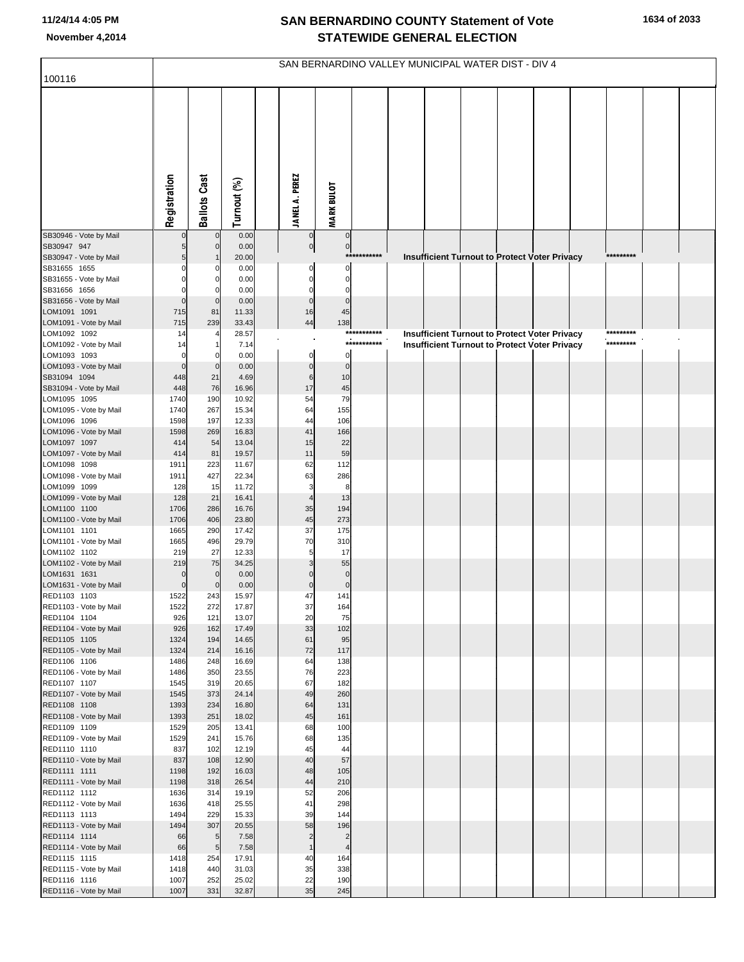|                                        | SAN BERNARDINO VALLEY MUNICIPAL WATER DIST - DIV 4 |                            |                |  |                                |                                           |             |  |  |  |                                                      |  |  |           |  |  |
|----------------------------------------|----------------------------------------------------|----------------------------|----------------|--|--------------------------------|-------------------------------------------|-------------|--|--|--|------------------------------------------------------|--|--|-----------|--|--|
| 100116                                 |                                                    |                            |                |  |                                |                                           |             |  |  |  |                                                      |  |  |           |  |  |
|                                        | Registration                                       | <b>Ballots Cast</b>        | Turnout (%)    |  | <b>JANEL A. PEREZ</b>          | <b>MARK BULOT</b>                         |             |  |  |  |                                                      |  |  |           |  |  |
| SB30946 - Vote by Mail                 |                                                    | $\overline{0}$             | 0.00           |  | $\overline{0}$                 | $\circ$                                   |             |  |  |  |                                                      |  |  |           |  |  |
| SB30947 947                            |                                                    | $\mathbf 0$                | 0.00<br>20.00  |  | $\overline{0}$                 | $\overline{0}$                            | *********** |  |  |  |                                                      |  |  | ********* |  |  |
| SB30947 - Vote by Mail<br>SB31655 1655 |                                                    | O                          | 0.00           |  | 0                              | 0                                         |             |  |  |  | <b>Insufficient Turnout to Protect Voter Privacy</b> |  |  |           |  |  |
| SB31655 - Vote by Mail                 |                                                    | $\mathbf 0$                | 0.00           |  | $\Omega$                       | $\mathbf 0$                               |             |  |  |  |                                                      |  |  |           |  |  |
| SB31656 1656                           |                                                    | $\Omega$                   | 0.00           |  | $\Omega$                       | $\Omega$                                  |             |  |  |  |                                                      |  |  |           |  |  |
| SB31656 - Vote by Mail<br>LOM1091 1091 | $\Omega$<br>715                                    | $\mathbf 0$<br>81          | 0.00<br>11.33  |  | $\overline{0}$<br>16           | $\mathbf 0$<br>45                         |             |  |  |  |                                                      |  |  |           |  |  |
| LOM1091 - Vote by Mail                 | 715                                                | 239                        | 33.43          |  | $44 \text{ }$                  | 138                                       |             |  |  |  |                                                      |  |  |           |  |  |
| LOM1092 1092                           | 14                                                 |                            | 28.57          |  |                                |                                           | *********** |  |  |  | <b>Insufficient Turnout to Protect Voter Privacy</b> |  |  | ********* |  |  |
| LOM1092 - Vote by Mail                 | 14                                                 |                            | 7.14           |  |                                |                                           | *********** |  |  |  | <b>Insufficient Turnout to Protect Voter Privacy</b> |  |  | ********* |  |  |
| LOM1093 1093                           | $\Omega$<br>$\overline{0}$                         | $\mathbf 0$                | 0.00           |  | $\mathbf{0}$                   | $\mathbf 0$                               |             |  |  |  |                                                      |  |  |           |  |  |
| LOM1093 - Vote by Mail<br>SB31094 1094 | 448                                                | 21                         | 0.00<br>4.69   |  | $\overline{0}$<br>6            | $\overline{0}$<br>10                      |             |  |  |  |                                                      |  |  |           |  |  |
| SB31094 - Vote by Mail                 | 448                                                | 76                         | 16.96          |  | 17                             | 45                                        |             |  |  |  |                                                      |  |  |           |  |  |
| LOM1095 1095                           | 1740                                               | 190                        | 10.92          |  | 54                             | 79                                        |             |  |  |  |                                                      |  |  |           |  |  |
| LOM1095 - Vote by Mail                 | 1740                                               | 267                        | 15.34          |  | 64                             | 155                                       |             |  |  |  |                                                      |  |  |           |  |  |
| LOM1096 1096<br>LOM1096 - Vote by Mail | 1598<br>1598                                       | 197<br>269                 | 12.33<br>16.83 |  | 44<br>41                       | 106<br>166                                |             |  |  |  |                                                      |  |  |           |  |  |
| LOM1097 1097                           | 414                                                | 54                         | 13.04          |  | 15                             | 22                                        |             |  |  |  |                                                      |  |  |           |  |  |
| LOM1097 - Vote by Mail                 | 414                                                | 81                         | 19.57          |  | 11                             | 59                                        |             |  |  |  |                                                      |  |  |           |  |  |
| LOM1098 1098                           | 1911                                               | 223                        | 11.67          |  | 62                             | 112                                       |             |  |  |  |                                                      |  |  |           |  |  |
| LOM1098 - Vote by Mail<br>LOM1099 1099 | 1911<br>128                                        | 427<br>15                  | 22.34<br>11.72 |  | 63<br>3                        | 286<br>8                                  |             |  |  |  |                                                      |  |  |           |  |  |
| LOM1099 - Vote by Mail                 | 128                                                | 21                         | 16.41          |  | 4                              | 13                                        |             |  |  |  |                                                      |  |  |           |  |  |
| LOM1100 1100                           | 1706                                               | 286                        | 16.76          |  | 35                             | 194                                       |             |  |  |  |                                                      |  |  |           |  |  |
| LOM1100 - Vote by Mail<br>LOM1101 1101 | 1706<br>1665                                       | 406<br>290                 | 23.80<br>17.42 |  | 45<br>37                       | 273<br>175                                |             |  |  |  |                                                      |  |  |           |  |  |
| LOM1101 - Vote by Mail                 | 1665                                               | 496                        | 29.79          |  | 70                             | 310                                       |             |  |  |  |                                                      |  |  |           |  |  |
| LOM1102 1102                           | 219                                                | 27                         | 12.33          |  | 5                              | 17                                        |             |  |  |  |                                                      |  |  |           |  |  |
| LOM1102 - Vote by Mail                 | 219                                                | 75                         | 34.25          |  |                                | 55                                        |             |  |  |  |                                                      |  |  |           |  |  |
| LOM1631 1631<br>LOM1631 - Vote by Mail | $\Omega$<br>$\overline{0}$                         | $\mathbf 0$<br>$\mathbf 0$ | 0.00<br>0.00   |  | $\mathbf 0$                    | $\mathbf 0$<br>$\pmb{0}$                  |             |  |  |  |                                                      |  |  |           |  |  |
| RED1103 1103                           | 1522                                               | 243                        | 15.97          |  | 47                             | 141                                       |             |  |  |  |                                                      |  |  |           |  |  |
| RED1103 - Vote by Mail                 | 1522                                               | 272                        | 17.87          |  | 37                             | 164                                       |             |  |  |  |                                                      |  |  |           |  |  |
| RED1104 1104                           | 926                                                | 121                        | 13.07          |  | 20                             | 75                                        |             |  |  |  |                                                      |  |  |           |  |  |
| RED1104 - Vote by Mail<br>RED1105 1105 | 926<br>1324                                        | 162<br>194                 | 17.49<br>14.65 |  | 33<br>61                       | 102<br>95                                 |             |  |  |  |                                                      |  |  |           |  |  |
| RED1105 - Vote by Mail                 | 1324                                               | 214                        | 16.16          |  | 72                             | 117                                       |             |  |  |  |                                                      |  |  |           |  |  |
| RED1106 1106                           | 1486                                               | 248                        | 16.69          |  | 64                             | 138                                       |             |  |  |  |                                                      |  |  |           |  |  |
| RED1106 - Vote by Mail<br>RED1107 1107 | 1486<br>1545                                       | 350<br>319                 | 23.55<br>20.65 |  | 76<br>67                       | 223<br>182                                |             |  |  |  |                                                      |  |  |           |  |  |
| RED1107 - Vote by Mail                 | 1545                                               | 373                        | 24.14          |  | 49                             | 260                                       |             |  |  |  |                                                      |  |  |           |  |  |
| RED1108 1108                           | 1393                                               | 234                        | 16.80          |  | 64                             | 131                                       |             |  |  |  |                                                      |  |  |           |  |  |
| RED1108 - Vote by Mail                 | 1393                                               | 251                        | 18.02          |  | 45                             | 161                                       |             |  |  |  |                                                      |  |  |           |  |  |
| RED1109 1109<br>RED1109 - Vote by Mail | 1529<br>1529                                       | 205<br>241                 | 13.41<br>15.76 |  | 68<br>68                       | 100<br>135                                |             |  |  |  |                                                      |  |  |           |  |  |
| RED1110 1110                           | 837                                                | 102                        | 12.19          |  | 45                             | 44                                        |             |  |  |  |                                                      |  |  |           |  |  |
| RED1110 - Vote by Mail                 | 837                                                | 108                        | 12.90          |  | 40                             | 57                                        |             |  |  |  |                                                      |  |  |           |  |  |
| RED1111 1111                           | 1198                                               | 192                        | 16.03          |  | 48                             | 105                                       |             |  |  |  |                                                      |  |  |           |  |  |
| RED1111 - Vote by Mail<br>RED1112 1112 | 1198<br>1636                                       | 318<br>314                 | 26.54<br>19.19 |  | 44<br>52                       | 210<br>206                                |             |  |  |  |                                                      |  |  |           |  |  |
| RED1112 - Vote by Mail                 | 1636                                               | 418                        | 25.55          |  | 41                             | 298                                       |             |  |  |  |                                                      |  |  |           |  |  |
| RED1113 1113                           | 1494                                               | 229                        | 15.33          |  | 39                             | 144                                       |             |  |  |  |                                                      |  |  |           |  |  |
| RED1113 - Vote by Mail                 | 1494                                               | 307                        | 20.55          |  | 58                             | 196                                       |             |  |  |  |                                                      |  |  |           |  |  |
| RED1114 1114<br>RED1114 - Vote by Mail | 66<br>66                                           | 5<br>$5\phantom{.0}$       | 7.58<br>7.58   |  | $\overline{2}$<br>$\mathbf{1}$ | $\overline{2}$<br>$\overline{\mathbf{4}}$ |             |  |  |  |                                                      |  |  |           |  |  |
| RED1115 1115                           | 1418                                               | 254                        | 17.91          |  | 40                             | 164                                       |             |  |  |  |                                                      |  |  |           |  |  |
| RED1115 - Vote by Mail                 | 1418                                               | 440                        | 31.03          |  | 35                             | 338                                       |             |  |  |  |                                                      |  |  |           |  |  |
| RED1116 1116                           | 1007                                               | 252                        | 25.02          |  | 22                             | 190                                       |             |  |  |  |                                                      |  |  |           |  |  |
| RED1116 - Vote by Mail                 | 1007                                               | 331                        | 32.87          |  | 35                             | 245                                       |             |  |  |  |                                                      |  |  |           |  |  |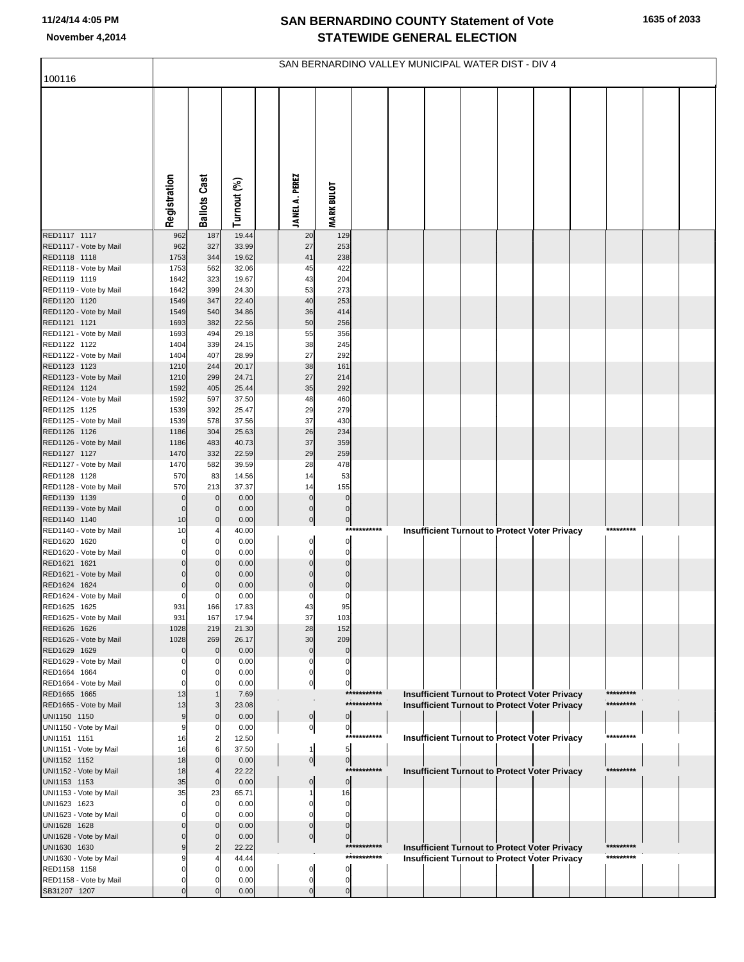| <b>Ballots Cast</b><br><b>JANEL A. PEREZ</b><br>Registration<br>Turnout (%)<br><b>MARK BULOT</b><br>19.44<br>RED1117 1117<br>962<br>187<br>129<br>20<br>327<br>33.99<br>RED1117 - Vote by Mail<br>962<br>27<br>253<br>1753<br>19.62<br>41<br>238<br>RED1118 1118<br>344<br>422<br>RED1118 - Vote by Mail<br>1753<br>562<br>32.06<br>45<br>19.67<br>43<br>RED1119 1119<br>1642<br>323<br>204<br>53<br>273<br>RED1119 - Vote by Mail<br>1642<br>399<br>24.30<br>347<br>22.40<br>40<br>253<br>RED1120 1120<br>1549<br>RED1120 - Vote by Mail<br>36<br>540<br>34.86<br>414<br>1549<br>22.56<br>50<br>RED1121 1121<br>1693<br>382<br>256<br>RED1121 - Vote by Mail<br>55<br>356<br>1693<br>494<br>29.18<br>38<br>RED1122 1122<br>1404<br>339<br>24.15<br>245<br>RED1122 - Vote by Mail<br>28.99<br>27<br>292<br>1404<br>407<br>20.17<br>38<br>161<br>RED1123 1123<br>244<br>1210<br>RED1123 - Vote by Mail<br>27<br>299<br>24.71<br>214<br>1210<br>35<br>292<br>RED1124 1124<br>1592<br>405<br>25.44<br>RED1124 - Vote by Mail<br>48<br>460<br>1592<br>597<br>37.50<br>29<br>279<br>RED1125 1125<br>1539<br>392<br>25.47<br>RED1125 - Vote by Mail<br>37.56<br>37<br>430<br>1539<br>578<br>26<br>RED1126 1126<br>304<br>25.63<br>234<br>1186<br>RED1126 - Vote by Mail<br>40.73<br>37<br>359<br>483<br>1186<br>1470<br>22.59<br>29<br>259<br>RED1127 1127<br>332<br>28<br>478<br>RED1127 - Vote by Mail<br>1470<br>582<br>39.59<br>570<br>83<br>53<br>RED1128 1128<br>14.56<br>14<br>RED1128 - Vote by Mail<br>155<br>570<br>213<br>37.37<br>14<br>$\overline{0}$<br>$\pmb{0}$<br>RED1139 1139<br>$\mathbf 0$<br>0.00<br>$\Omega$<br>$\overline{0}$<br>RED1139 - Vote by Mail<br>$\mathbf 0$<br>0.00<br>$\mathbf 0$<br>$\Omega$<br>$\overline{0}$<br>$\mathbf{0}$<br>RED1140 1140<br>10<br>$\pmb{0}$<br>0.00<br>RED1140 - Vote by Mail<br>****<br>*******<br><b>Insufficient Turnout to Protect Voter Privacy</b><br>*********<br>10<br>40.00<br>4<br>$\mathbf{0}$<br>$\pmb{0}$<br>RED1620 1620<br>$\mathbf 0$<br>0.00<br>$\mathbf 0$<br>RED1620 - Vote by Mail<br>0.00<br>$\mathbf 0$<br>$\mathbf 0$<br>$\overline{0}$<br>$\mathbf 0$<br>RED1621 1621<br>$\mathbf 0$<br>0.00<br>$\mathbf 0$<br>$\mathbf 0$<br>RED1621 - Vote by Mail<br>0.00<br>$\mathbf 0$<br>$\overline{0}$<br>$\mathbf 0$<br>RED1624 1624<br>0.00<br>$\mathbf 0$<br>0<br>0.00<br>0<br>$\mathbf 0$<br>0<br>931<br>166<br>17.83<br>43<br>95<br>RED1625 - Vote by Mail<br>931<br>37<br>103<br>167<br>17.94<br>28<br>RED1626 1626<br>1028<br>219<br>21.30<br>152<br>RED1626 - Vote by Mail<br>269<br>30<br>209<br>1028<br>26.17<br>RED1629 1629<br>$\mathbf 0$<br>0.00<br>$\mathbf 0$<br>$\mathbf 0$<br>RED1629 - Vote by Mail<br>0.00<br>0<br>0<br>$\Omega$<br>RED1664 1664<br>0.00<br>0<br>0<br>$\Omega$<br>RED1664 - Vote by Mail<br>0.00<br>$\overline{0}$<br>0<br>***********<br>*********<br>RED1665 1665<br>7.69<br><b>Insufficient Turnout to Protect Voter Privacy</b><br>13<br>***********<br>*********<br><b>Insufficient Turnout to Protect Voter Privacy</b><br>RED1665 - Vote by Mail<br>13<br>23.08<br>3<br>$\overline{0}$<br>UNI1150 1150<br>$\mathbf 0$<br>0.00<br>0<br>UNI1150 - Vote by Mail<br>이<br>0.00<br>0<br>0<br>***********<br>*********<br><b>Insufficient Turnout to Protect Voter Privacy</b><br>UNI1151 1151<br>$\overline{\mathbf{c}}$<br>12.50<br>16<br>UNI1151 - Vote by Mail<br>37.50<br>5<br>16<br>6<br>1<br>UNI1152 1152<br>$\mathbf 0$<br>$\overline{0}$<br>$\pmb{0}$<br>18<br>0.00<br>*******<br>*********<br>UNI1152 - Vote by Mail<br>18<br>****<br><b>Insufficient Turnout to Protect Voter Privacy</b><br>22.22<br>$\overline{4}$<br>UNI1153 1153<br>35<br>$\pmb{0}$<br>$\mathbf 0$<br>0.00<br>$\mathbf 0$<br>UNI1153 - Vote by Mail<br>35<br>23<br>16<br>65.71<br>UNI1623 1623<br>0<br>0.00<br>0<br>0<br>UNI1623 - Vote by Mail<br>0.00<br>0<br>$\Omega$<br>0<br>UNI1628 1628<br>$\pmb{0}$<br>0.00<br>$\mathbf 0$<br>0<br>$\overline{0}$<br>UNI1628 - Vote by Mail<br>0.00<br>0<br>$\mathbf 0$<br>***********<br>*********<br>UNI1630 1630<br>22.22<br><b>Insufficient Turnout to Protect Voter Privacy</b><br>$\overline{2}$<br>***********<br>*********<br>UNI1630 - Vote by Mail<br><b>Insufficient Turnout to Protect Voter Privacy</b><br>44.44<br>RED1158 1158<br>$\mathbf 0$<br>0.00<br>0<br>0<br>RED1158 - Vote by Mail<br>0.00<br>0<br>$\mathbf 0$<br>$\mathbf 0$<br>SB31207 1207<br>0.00<br>$\mathbf 0$<br>$\Omega$ | 100116                 | SAN BERNARDINO VALLEY MUNICIPAL WATER DIST - DIV 4 |  |  |  |  |  |  |  |  |  |  |  |  |  |  |  |
|-------------------------------------------------------------------------------------------------------------------------------------------------------------------------------------------------------------------------------------------------------------------------------------------------------------------------------------------------------------------------------------------------------------------------------------------------------------------------------------------------------------------------------------------------------------------------------------------------------------------------------------------------------------------------------------------------------------------------------------------------------------------------------------------------------------------------------------------------------------------------------------------------------------------------------------------------------------------------------------------------------------------------------------------------------------------------------------------------------------------------------------------------------------------------------------------------------------------------------------------------------------------------------------------------------------------------------------------------------------------------------------------------------------------------------------------------------------------------------------------------------------------------------------------------------------------------------------------------------------------------------------------------------------------------------------------------------------------------------------------------------------------------------------------------------------------------------------------------------------------------------------------------------------------------------------------------------------------------------------------------------------------------------------------------------------------------------------------------------------------------------------------------------------------------------------------------------------------------------------------------------------------------------------------------------------------------------------------------------------------------------------------------------------------------------------------------------------------------------------------------------------------------------------------------------------------------------------------------------------------------------------------------------------------------------------------------------------------------------------------------------------------------------------------------------------------------------------------------------------------------------------------------------------------------------------------------------------------------------------------------------------------------------------------------------------------------------------------------------------------------------------------------------------------------------------------------------------------------------------------------------------------------------------------------------------------------------------------------------------------------------------------------------------------------------------------------------------------------------------------------------------------------------------------------------------------------------------------------------------------------------------------------------------------------------------------------------------------------------------------------------------------------------------------------------------------------------------------------------------------------------------------------------------------------------------------------------------------------------------------------------------------------------------------------------------------------------------------------------------------------------------------------------------------------------------------------------------------------------------------------------------------------------------------------------------------------------------------------------------------------------------------------------------------------------------|------------------------|----------------------------------------------------|--|--|--|--|--|--|--|--|--|--|--|--|--|--|--|
|                                                                                                                                                                                                                                                                                                                                                                                                                                                                                                                                                                                                                                                                                                                                                                                                                                                                                                                                                                                                                                                                                                                                                                                                                                                                                                                                                                                                                                                                                                                                                                                                                                                                                                                                                                                                                                                                                                                                                                                                                                                                                                                                                                                                                                                                                                                                                                                                                                                                                                                                                                                                                                                                                                                                                                                                                                                                                                                                                                                                                                                                                                                                                                                                                                                                                                                                                                                                                                                                                                                                                                                                                                                                                                                                                                                                                                                                                                                                                                                                                                                                                                                                                                                                                                                                                                                                                                                                                                     |                        |                                                    |  |  |  |  |  |  |  |  |  |  |  |  |  |  |  |
|                                                                                                                                                                                                                                                                                                                                                                                                                                                                                                                                                                                                                                                                                                                                                                                                                                                                                                                                                                                                                                                                                                                                                                                                                                                                                                                                                                                                                                                                                                                                                                                                                                                                                                                                                                                                                                                                                                                                                                                                                                                                                                                                                                                                                                                                                                                                                                                                                                                                                                                                                                                                                                                                                                                                                                                                                                                                                                                                                                                                                                                                                                                                                                                                                                                                                                                                                                                                                                                                                                                                                                                                                                                                                                                                                                                                                                                                                                                                                                                                                                                                                                                                                                                                                                                                                                                                                                                                                                     |                        |                                                    |  |  |  |  |  |  |  |  |  |  |  |  |  |  |  |
|                                                                                                                                                                                                                                                                                                                                                                                                                                                                                                                                                                                                                                                                                                                                                                                                                                                                                                                                                                                                                                                                                                                                                                                                                                                                                                                                                                                                                                                                                                                                                                                                                                                                                                                                                                                                                                                                                                                                                                                                                                                                                                                                                                                                                                                                                                                                                                                                                                                                                                                                                                                                                                                                                                                                                                                                                                                                                                                                                                                                                                                                                                                                                                                                                                                                                                                                                                                                                                                                                                                                                                                                                                                                                                                                                                                                                                                                                                                                                                                                                                                                                                                                                                                                                                                                                                                                                                                                                                     |                        |                                                    |  |  |  |  |  |  |  |  |  |  |  |  |  |  |  |
|                                                                                                                                                                                                                                                                                                                                                                                                                                                                                                                                                                                                                                                                                                                                                                                                                                                                                                                                                                                                                                                                                                                                                                                                                                                                                                                                                                                                                                                                                                                                                                                                                                                                                                                                                                                                                                                                                                                                                                                                                                                                                                                                                                                                                                                                                                                                                                                                                                                                                                                                                                                                                                                                                                                                                                                                                                                                                                                                                                                                                                                                                                                                                                                                                                                                                                                                                                                                                                                                                                                                                                                                                                                                                                                                                                                                                                                                                                                                                                                                                                                                                                                                                                                                                                                                                                                                                                                                                                     |                        |                                                    |  |  |  |  |  |  |  |  |  |  |  |  |  |  |  |
|                                                                                                                                                                                                                                                                                                                                                                                                                                                                                                                                                                                                                                                                                                                                                                                                                                                                                                                                                                                                                                                                                                                                                                                                                                                                                                                                                                                                                                                                                                                                                                                                                                                                                                                                                                                                                                                                                                                                                                                                                                                                                                                                                                                                                                                                                                                                                                                                                                                                                                                                                                                                                                                                                                                                                                                                                                                                                                                                                                                                                                                                                                                                                                                                                                                                                                                                                                                                                                                                                                                                                                                                                                                                                                                                                                                                                                                                                                                                                                                                                                                                                                                                                                                                                                                                                                                                                                                                                                     |                        |                                                    |  |  |  |  |  |  |  |  |  |  |  |  |  |  |  |
|                                                                                                                                                                                                                                                                                                                                                                                                                                                                                                                                                                                                                                                                                                                                                                                                                                                                                                                                                                                                                                                                                                                                                                                                                                                                                                                                                                                                                                                                                                                                                                                                                                                                                                                                                                                                                                                                                                                                                                                                                                                                                                                                                                                                                                                                                                                                                                                                                                                                                                                                                                                                                                                                                                                                                                                                                                                                                                                                                                                                                                                                                                                                                                                                                                                                                                                                                                                                                                                                                                                                                                                                                                                                                                                                                                                                                                                                                                                                                                                                                                                                                                                                                                                                                                                                                                                                                                                                                                     |                        |                                                    |  |  |  |  |  |  |  |  |  |  |  |  |  |  |  |
|                                                                                                                                                                                                                                                                                                                                                                                                                                                                                                                                                                                                                                                                                                                                                                                                                                                                                                                                                                                                                                                                                                                                                                                                                                                                                                                                                                                                                                                                                                                                                                                                                                                                                                                                                                                                                                                                                                                                                                                                                                                                                                                                                                                                                                                                                                                                                                                                                                                                                                                                                                                                                                                                                                                                                                                                                                                                                                                                                                                                                                                                                                                                                                                                                                                                                                                                                                                                                                                                                                                                                                                                                                                                                                                                                                                                                                                                                                                                                                                                                                                                                                                                                                                                                                                                                                                                                                                                                                     |                        |                                                    |  |  |  |  |  |  |  |  |  |  |  |  |  |  |  |
|                                                                                                                                                                                                                                                                                                                                                                                                                                                                                                                                                                                                                                                                                                                                                                                                                                                                                                                                                                                                                                                                                                                                                                                                                                                                                                                                                                                                                                                                                                                                                                                                                                                                                                                                                                                                                                                                                                                                                                                                                                                                                                                                                                                                                                                                                                                                                                                                                                                                                                                                                                                                                                                                                                                                                                                                                                                                                                                                                                                                                                                                                                                                                                                                                                                                                                                                                                                                                                                                                                                                                                                                                                                                                                                                                                                                                                                                                                                                                                                                                                                                                                                                                                                                                                                                                                                                                                                                                                     |                        |                                                    |  |  |  |  |  |  |  |  |  |  |  |  |  |  |  |
|                                                                                                                                                                                                                                                                                                                                                                                                                                                                                                                                                                                                                                                                                                                                                                                                                                                                                                                                                                                                                                                                                                                                                                                                                                                                                                                                                                                                                                                                                                                                                                                                                                                                                                                                                                                                                                                                                                                                                                                                                                                                                                                                                                                                                                                                                                                                                                                                                                                                                                                                                                                                                                                                                                                                                                                                                                                                                                                                                                                                                                                                                                                                                                                                                                                                                                                                                                                                                                                                                                                                                                                                                                                                                                                                                                                                                                                                                                                                                                                                                                                                                                                                                                                                                                                                                                                                                                                                                                     |                        |                                                    |  |  |  |  |  |  |  |  |  |  |  |  |  |  |  |
|                                                                                                                                                                                                                                                                                                                                                                                                                                                                                                                                                                                                                                                                                                                                                                                                                                                                                                                                                                                                                                                                                                                                                                                                                                                                                                                                                                                                                                                                                                                                                                                                                                                                                                                                                                                                                                                                                                                                                                                                                                                                                                                                                                                                                                                                                                                                                                                                                                                                                                                                                                                                                                                                                                                                                                                                                                                                                                                                                                                                                                                                                                                                                                                                                                                                                                                                                                                                                                                                                                                                                                                                                                                                                                                                                                                                                                                                                                                                                                                                                                                                                                                                                                                                                                                                                                                                                                                                                                     |                        |                                                    |  |  |  |  |  |  |  |  |  |  |  |  |  |  |  |
|                                                                                                                                                                                                                                                                                                                                                                                                                                                                                                                                                                                                                                                                                                                                                                                                                                                                                                                                                                                                                                                                                                                                                                                                                                                                                                                                                                                                                                                                                                                                                                                                                                                                                                                                                                                                                                                                                                                                                                                                                                                                                                                                                                                                                                                                                                                                                                                                                                                                                                                                                                                                                                                                                                                                                                                                                                                                                                                                                                                                                                                                                                                                                                                                                                                                                                                                                                                                                                                                                                                                                                                                                                                                                                                                                                                                                                                                                                                                                                                                                                                                                                                                                                                                                                                                                                                                                                                                                                     |                        |                                                    |  |  |  |  |  |  |  |  |  |  |  |  |  |  |  |
|                                                                                                                                                                                                                                                                                                                                                                                                                                                                                                                                                                                                                                                                                                                                                                                                                                                                                                                                                                                                                                                                                                                                                                                                                                                                                                                                                                                                                                                                                                                                                                                                                                                                                                                                                                                                                                                                                                                                                                                                                                                                                                                                                                                                                                                                                                                                                                                                                                                                                                                                                                                                                                                                                                                                                                                                                                                                                                                                                                                                                                                                                                                                                                                                                                                                                                                                                                                                                                                                                                                                                                                                                                                                                                                                                                                                                                                                                                                                                                                                                                                                                                                                                                                                                                                                                                                                                                                                                                     |                        |                                                    |  |  |  |  |  |  |  |  |  |  |  |  |  |  |  |
|                                                                                                                                                                                                                                                                                                                                                                                                                                                                                                                                                                                                                                                                                                                                                                                                                                                                                                                                                                                                                                                                                                                                                                                                                                                                                                                                                                                                                                                                                                                                                                                                                                                                                                                                                                                                                                                                                                                                                                                                                                                                                                                                                                                                                                                                                                                                                                                                                                                                                                                                                                                                                                                                                                                                                                                                                                                                                                                                                                                                                                                                                                                                                                                                                                                                                                                                                                                                                                                                                                                                                                                                                                                                                                                                                                                                                                                                                                                                                                                                                                                                                                                                                                                                                                                                                                                                                                                                                                     |                        |                                                    |  |  |  |  |  |  |  |  |  |  |  |  |  |  |  |
|                                                                                                                                                                                                                                                                                                                                                                                                                                                                                                                                                                                                                                                                                                                                                                                                                                                                                                                                                                                                                                                                                                                                                                                                                                                                                                                                                                                                                                                                                                                                                                                                                                                                                                                                                                                                                                                                                                                                                                                                                                                                                                                                                                                                                                                                                                                                                                                                                                                                                                                                                                                                                                                                                                                                                                                                                                                                                                                                                                                                                                                                                                                                                                                                                                                                                                                                                                                                                                                                                                                                                                                                                                                                                                                                                                                                                                                                                                                                                                                                                                                                                                                                                                                                                                                                                                                                                                                                                                     |                        |                                                    |  |  |  |  |  |  |  |  |  |  |  |  |  |  |  |
|                                                                                                                                                                                                                                                                                                                                                                                                                                                                                                                                                                                                                                                                                                                                                                                                                                                                                                                                                                                                                                                                                                                                                                                                                                                                                                                                                                                                                                                                                                                                                                                                                                                                                                                                                                                                                                                                                                                                                                                                                                                                                                                                                                                                                                                                                                                                                                                                                                                                                                                                                                                                                                                                                                                                                                                                                                                                                                                                                                                                                                                                                                                                                                                                                                                                                                                                                                                                                                                                                                                                                                                                                                                                                                                                                                                                                                                                                                                                                                                                                                                                                                                                                                                                                                                                                                                                                                                                                                     |                        |                                                    |  |  |  |  |  |  |  |  |  |  |  |  |  |  |  |
|                                                                                                                                                                                                                                                                                                                                                                                                                                                                                                                                                                                                                                                                                                                                                                                                                                                                                                                                                                                                                                                                                                                                                                                                                                                                                                                                                                                                                                                                                                                                                                                                                                                                                                                                                                                                                                                                                                                                                                                                                                                                                                                                                                                                                                                                                                                                                                                                                                                                                                                                                                                                                                                                                                                                                                                                                                                                                                                                                                                                                                                                                                                                                                                                                                                                                                                                                                                                                                                                                                                                                                                                                                                                                                                                                                                                                                                                                                                                                                                                                                                                                                                                                                                                                                                                                                                                                                                                                                     |                        |                                                    |  |  |  |  |  |  |  |  |  |  |  |  |  |  |  |
|                                                                                                                                                                                                                                                                                                                                                                                                                                                                                                                                                                                                                                                                                                                                                                                                                                                                                                                                                                                                                                                                                                                                                                                                                                                                                                                                                                                                                                                                                                                                                                                                                                                                                                                                                                                                                                                                                                                                                                                                                                                                                                                                                                                                                                                                                                                                                                                                                                                                                                                                                                                                                                                                                                                                                                                                                                                                                                                                                                                                                                                                                                                                                                                                                                                                                                                                                                                                                                                                                                                                                                                                                                                                                                                                                                                                                                                                                                                                                                                                                                                                                                                                                                                                                                                                                                                                                                                                                                     |                        |                                                    |  |  |  |  |  |  |  |  |  |  |  |  |  |  |  |
|                                                                                                                                                                                                                                                                                                                                                                                                                                                                                                                                                                                                                                                                                                                                                                                                                                                                                                                                                                                                                                                                                                                                                                                                                                                                                                                                                                                                                                                                                                                                                                                                                                                                                                                                                                                                                                                                                                                                                                                                                                                                                                                                                                                                                                                                                                                                                                                                                                                                                                                                                                                                                                                                                                                                                                                                                                                                                                                                                                                                                                                                                                                                                                                                                                                                                                                                                                                                                                                                                                                                                                                                                                                                                                                                                                                                                                                                                                                                                                                                                                                                                                                                                                                                                                                                                                                                                                                                                                     |                        |                                                    |  |  |  |  |  |  |  |  |  |  |  |  |  |  |  |
|                                                                                                                                                                                                                                                                                                                                                                                                                                                                                                                                                                                                                                                                                                                                                                                                                                                                                                                                                                                                                                                                                                                                                                                                                                                                                                                                                                                                                                                                                                                                                                                                                                                                                                                                                                                                                                                                                                                                                                                                                                                                                                                                                                                                                                                                                                                                                                                                                                                                                                                                                                                                                                                                                                                                                                                                                                                                                                                                                                                                                                                                                                                                                                                                                                                                                                                                                                                                                                                                                                                                                                                                                                                                                                                                                                                                                                                                                                                                                                                                                                                                                                                                                                                                                                                                                                                                                                                                                                     |                        |                                                    |  |  |  |  |  |  |  |  |  |  |  |  |  |  |  |
|                                                                                                                                                                                                                                                                                                                                                                                                                                                                                                                                                                                                                                                                                                                                                                                                                                                                                                                                                                                                                                                                                                                                                                                                                                                                                                                                                                                                                                                                                                                                                                                                                                                                                                                                                                                                                                                                                                                                                                                                                                                                                                                                                                                                                                                                                                                                                                                                                                                                                                                                                                                                                                                                                                                                                                                                                                                                                                                                                                                                                                                                                                                                                                                                                                                                                                                                                                                                                                                                                                                                                                                                                                                                                                                                                                                                                                                                                                                                                                                                                                                                                                                                                                                                                                                                                                                                                                                                                                     |                        |                                                    |  |  |  |  |  |  |  |  |  |  |  |  |  |  |  |
|                                                                                                                                                                                                                                                                                                                                                                                                                                                                                                                                                                                                                                                                                                                                                                                                                                                                                                                                                                                                                                                                                                                                                                                                                                                                                                                                                                                                                                                                                                                                                                                                                                                                                                                                                                                                                                                                                                                                                                                                                                                                                                                                                                                                                                                                                                                                                                                                                                                                                                                                                                                                                                                                                                                                                                                                                                                                                                                                                                                                                                                                                                                                                                                                                                                                                                                                                                                                                                                                                                                                                                                                                                                                                                                                                                                                                                                                                                                                                                                                                                                                                                                                                                                                                                                                                                                                                                                                                                     |                        |                                                    |  |  |  |  |  |  |  |  |  |  |  |  |  |  |  |
|                                                                                                                                                                                                                                                                                                                                                                                                                                                                                                                                                                                                                                                                                                                                                                                                                                                                                                                                                                                                                                                                                                                                                                                                                                                                                                                                                                                                                                                                                                                                                                                                                                                                                                                                                                                                                                                                                                                                                                                                                                                                                                                                                                                                                                                                                                                                                                                                                                                                                                                                                                                                                                                                                                                                                                                                                                                                                                                                                                                                                                                                                                                                                                                                                                                                                                                                                                                                                                                                                                                                                                                                                                                                                                                                                                                                                                                                                                                                                                                                                                                                                                                                                                                                                                                                                                                                                                                                                                     |                        |                                                    |  |  |  |  |  |  |  |  |  |  |  |  |  |  |  |
|                                                                                                                                                                                                                                                                                                                                                                                                                                                                                                                                                                                                                                                                                                                                                                                                                                                                                                                                                                                                                                                                                                                                                                                                                                                                                                                                                                                                                                                                                                                                                                                                                                                                                                                                                                                                                                                                                                                                                                                                                                                                                                                                                                                                                                                                                                                                                                                                                                                                                                                                                                                                                                                                                                                                                                                                                                                                                                                                                                                                                                                                                                                                                                                                                                                                                                                                                                                                                                                                                                                                                                                                                                                                                                                                                                                                                                                                                                                                                                                                                                                                                                                                                                                                                                                                                                                                                                                                                                     |                        |                                                    |  |  |  |  |  |  |  |  |  |  |  |  |  |  |  |
|                                                                                                                                                                                                                                                                                                                                                                                                                                                                                                                                                                                                                                                                                                                                                                                                                                                                                                                                                                                                                                                                                                                                                                                                                                                                                                                                                                                                                                                                                                                                                                                                                                                                                                                                                                                                                                                                                                                                                                                                                                                                                                                                                                                                                                                                                                                                                                                                                                                                                                                                                                                                                                                                                                                                                                                                                                                                                                                                                                                                                                                                                                                                                                                                                                                                                                                                                                                                                                                                                                                                                                                                                                                                                                                                                                                                                                                                                                                                                                                                                                                                                                                                                                                                                                                                                                                                                                                                                                     |                        |                                                    |  |  |  |  |  |  |  |  |  |  |  |  |  |  |  |
|                                                                                                                                                                                                                                                                                                                                                                                                                                                                                                                                                                                                                                                                                                                                                                                                                                                                                                                                                                                                                                                                                                                                                                                                                                                                                                                                                                                                                                                                                                                                                                                                                                                                                                                                                                                                                                                                                                                                                                                                                                                                                                                                                                                                                                                                                                                                                                                                                                                                                                                                                                                                                                                                                                                                                                                                                                                                                                                                                                                                                                                                                                                                                                                                                                                                                                                                                                                                                                                                                                                                                                                                                                                                                                                                                                                                                                                                                                                                                                                                                                                                                                                                                                                                                                                                                                                                                                                                                                     |                        |                                                    |  |  |  |  |  |  |  |  |  |  |  |  |  |  |  |
|                                                                                                                                                                                                                                                                                                                                                                                                                                                                                                                                                                                                                                                                                                                                                                                                                                                                                                                                                                                                                                                                                                                                                                                                                                                                                                                                                                                                                                                                                                                                                                                                                                                                                                                                                                                                                                                                                                                                                                                                                                                                                                                                                                                                                                                                                                                                                                                                                                                                                                                                                                                                                                                                                                                                                                                                                                                                                                                                                                                                                                                                                                                                                                                                                                                                                                                                                                                                                                                                                                                                                                                                                                                                                                                                                                                                                                                                                                                                                                                                                                                                                                                                                                                                                                                                                                                                                                                                                                     |                        |                                                    |  |  |  |  |  |  |  |  |  |  |  |  |  |  |  |
|                                                                                                                                                                                                                                                                                                                                                                                                                                                                                                                                                                                                                                                                                                                                                                                                                                                                                                                                                                                                                                                                                                                                                                                                                                                                                                                                                                                                                                                                                                                                                                                                                                                                                                                                                                                                                                                                                                                                                                                                                                                                                                                                                                                                                                                                                                                                                                                                                                                                                                                                                                                                                                                                                                                                                                                                                                                                                                                                                                                                                                                                                                                                                                                                                                                                                                                                                                                                                                                                                                                                                                                                                                                                                                                                                                                                                                                                                                                                                                                                                                                                                                                                                                                                                                                                                                                                                                                                                                     |                        |                                                    |  |  |  |  |  |  |  |  |  |  |  |  |  |  |  |
|                                                                                                                                                                                                                                                                                                                                                                                                                                                                                                                                                                                                                                                                                                                                                                                                                                                                                                                                                                                                                                                                                                                                                                                                                                                                                                                                                                                                                                                                                                                                                                                                                                                                                                                                                                                                                                                                                                                                                                                                                                                                                                                                                                                                                                                                                                                                                                                                                                                                                                                                                                                                                                                                                                                                                                                                                                                                                                                                                                                                                                                                                                                                                                                                                                                                                                                                                                                                                                                                                                                                                                                                                                                                                                                                                                                                                                                                                                                                                                                                                                                                                                                                                                                                                                                                                                                                                                                                                                     | RED1624 - Vote by Mail |                                                    |  |  |  |  |  |  |  |  |  |  |  |  |  |  |  |
|                                                                                                                                                                                                                                                                                                                                                                                                                                                                                                                                                                                                                                                                                                                                                                                                                                                                                                                                                                                                                                                                                                                                                                                                                                                                                                                                                                                                                                                                                                                                                                                                                                                                                                                                                                                                                                                                                                                                                                                                                                                                                                                                                                                                                                                                                                                                                                                                                                                                                                                                                                                                                                                                                                                                                                                                                                                                                                                                                                                                                                                                                                                                                                                                                                                                                                                                                                                                                                                                                                                                                                                                                                                                                                                                                                                                                                                                                                                                                                                                                                                                                                                                                                                                                                                                                                                                                                                                                                     | RED1625 1625           |                                                    |  |  |  |  |  |  |  |  |  |  |  |  |  |  |  |
|                                                                                                                                                                                                                                                                                                                                                                                                                                                                                                                                                                                                                                                                                                                                                                                                                                                                                                                                                                                                                                                                                                                                                                                                                                                                                                                                                                                                                                                                                                                                                                                                                                                                                                                                                                                                                                                                                                                                                                                                                                                                                                                                                                                                                                                                                                                                                                                                                                                                                                                                                                                                                                                                                                                                                                                                                                                                                                                                                                                                                                                                                                                                                                                                                                                                                                                                                                                                                                                                                                                                                                                                                                                                                                                                                                                                                                                                                                                                                                                                                                                                                                                                                                                                                                                                                                                                                                                                                                     |                        |                                                    |  |  |  |  |  |  |  |  |  |  |  |  |  |  |  |
|                                                                                                                                                                                                                                                                                                                                                                                                                                                                                                                                                                                                                                                                                                                                                                                                                                                                                                                                                                                                                                                                                                                                                                                                                                                                                                                                                                                                                                                                                                                                                                                                                                                                                                                                                                                                                                                                                                                                                                                                                                                                                                                                                                                                                                                                                                                                                                                                                                                                                                                                                                                                                                                                                                                                                                                                                                                                                                                                                                                                                                                                                                                                                                                                                                                                                                                                                                                                                                                                                                                                                                                                                                                                                                                                                                                                                                                                                                                                                                                                                                                                                                                                                                                                                                                                                                                                                                                                                                     |                        |                                                    |  |  |  |  |  |  |  |  |  |  |  |  |  |  |  |
|                                                                                                                                                                                                                                                                                                                                                                                                                                                                                                                                                                                                                                                                                                                                                                                                                                                                                                                                                                                                                                                                                                                                                                                                                                                                                                                                                                                                                                                                                                                                                                                                                                                                                                                                                                                                                                                                                                                                                                                                                                                                                                                                                                                                                                                                                                                                                                                                                                                                                                                                                                                                                                                                                                                                                                                                                                                                                                                                                                                                                                                                                                                                                                                                                                                                                                                                                                                                                                                                                                                                                                                                                                                                                                                                                                                                                                                                                                                                                                                                                                                                                                                                                                                                                                                                                                                                                                                                                                     |                        |                                                    |  |  |  |  |  |  |  |  |  |  |  |  |  |  |  |
|                                                                                                                                                                                                                                                                                                                                                                                                                                                                                                                                                                                                                                                                                                                                                                                                                                                                                                                                                                                                                                                                                                                                                                                                                                                                                                                                                                                                                                                                                                                                                                                                                                                                                                                                                                                                                                                                                                                                                                                                                                                                                                                                                                                                                                                                                                                                                                                                                                                                                                                                                                                                                                                                                                                                                                                                                                                                                                                                                                                                                                                                                                                                                                                                                                                                                                                                                                                                                                                                                                                                                                                                                                                                                                                                                                                                                                                                                                                                                                                                                                                                                                                                                                                                                                                                                                                                                                                                                                     |                        |                                                    |  |  |  |  |  |  |  |  |  |  |  |  |  |  |  |
|                                                                                                                                                                                                                                                                                                                                                                                                                                                                                                                                                                                                                                                                                                                                                                                                                                                                                                                                                                                                                                                                                                                                                                                                                                                                                                                                                                                                                                                                                                                                                                                                                                                                                                                                                                                                                                                                                                                                                                                                                                                                                                                                                                                                                                                                                                                                                                                                                                                                                                                                                                                                                                                                                                                                                                                                                                                                                                                                                                                                                                                                                                                                                                                                                                                                                                                                                                                                                                                                                                                                                                                                                                                                                                                                                                                                                                                                                                                                                                                                                                                                                                                                                                                                                                                                                                                                                                                                                                     |                        |                                                    |  |  |  |  |  |  |  |  |  |  |  |  |  |  |  |
|                                                                                                                                                                                                                                                                                                                                                                                                                                                                                                                                                                                                                                                                                                                                                                                                                                                                                                                                                                                                                                                                                                                                                                                                                                                                                                                                                                                                                                                                                                                                                                                                                                                                                                                                                                                                                                                                                                                                                                                                                                                                                                                                                                                                                                                                                                                                                                                                                                                                                                                                                                                                                                                                                                                                                                                                                                                                                                                                                                                                                                                                                                                                                                                                                                                                                                                                                                                                                                                                                                                                                                                                                                                                                                                                                                                                                                                                                                                                                                                                                                                                                                                                                                                                                                                                                                                                                                                                                                     |                        |                                                    |  |  |  |  |  |  |  |  |  |  |  |  |  |  |  |
|                                                                                                                                                                                                                                                                                                                                                                                                                                                                                                                                                                                                                                                                                                                                                                                                                                                                                                                                                                                                                                                                                                                                                                                                                                                                                                                                                                                                                                                                                                                                                                                                                                                                                                                                                                                                                                                                                                                                                                                                                                                                                                                                                                                                                                                                                                                                                                                                                                                                                                                                                                                                                                                                                                                                                                                                                                                                                                                                                                                                                                                                                                                                                                                                                                                                                                                                                                                                                                                                                                                                                                                                                                                                                                                                                                                                                                                                                                                                                                                                                                                                                                                                                                                                                                                                                                                                                                                                                                     |                        |                                                    |  |  |  |  |  |  |  |  |  |  |  |  |  |  |  |
|                                                                                                                                                                                                                                                                                                                                                                                                                                                                                                                                                                                                                                                                                                                                                                                                                                                                                                                                                                                                                                                                                                                                                                                                                                                                                                                                                                                                                                                                                                                                                                                                                                                                                                                                                                                                                                                                                                                                                                                                                                                                                                                                                                                                                                                                                                                                                                                                                                                                                                                                                                                                                                                                                                                                                                                                                                                                                                                                                                                                                                                                                                                                                                                                                                                                                                                                                                                                                                                                                                                                                                                                                                                                                                                                                                                                                                                                                                                                                                                                                                                                                                                                                                                                                                                                                                                                                                                                                                     |                        |                                                    |  |  |  |  |  |  |  |  |  |  |  |  |  |  |  |
|                                                                                                                                                                                                                                                                                                                                                                                                                                                                                                                                                                                                                                                                                                                                                                                                                                                                                                                                                                                                                                                                                                                                                                                                                                                                                                                                                                                                                                                                                                                                                                                                                                                                                                                                                                                                                                                                                                                                                                                                                                                                                                                                                                                                                                                                                                                                                                                                                                                                                                                                                                                                                                                                                                                                                                                                                                                                                                                                                                                                                                                                                                                                                                                                                                                                                                                                                                                                                                                                                                                                                                                                                                                                                                                                                                                                                                                                                                                                                                                                                                                                                                                                                                                                                                                                                                                                                                                                                                     |                        |                                                    |  |  |  |  |  |  |  |  |  |  |  |  |  |  |  |
|                                                                                                                                                                                                                                                                                                                                                                                                                                                                                                                                                                                                                                                                                                                                                                                                                                                                                                                                                                                                                                                                                                                                                                                                                                                                                                                                                                                                                                                                                                                                                                                                                                                                                                                                                                                                                                                                                                                                                                                                                                                                                                                                                                                                                                                                                                                                                                                                                                                                                                                                                                                                                                                                                                                                                                                                                                                                                                                                                                                                                                                                                                                                                                                                                                                                                                                                                                                                                                                                                                                                                                                                                                                                                                                                                                                                                                                                                                                                                                                                                                                                                                                                                                                                                                                                                                                                                                                                                                     |                        |                                                    |  |  |  |  |  |  |  |  |  |  |  |  |  |  |  |
|                                                                                                                                                                                                                                                                                                                                                                                                                                                                                                                                                                                                                                                                                                                                                                                                                                                                                                                                                                                                                                                                                                                                                                                                                                                                                                                                                                                                                                                                                                                                                                                                                                                                                                                                                                                                                                                                                                                                                                                                                                                                                                                                                                                                                                                                                                                                                                                                                                                                                                                                                                                                                                                                                                                                                                                                                                                                                                                                                                                                                                                                                                                                                                                                                                                                                                                                                                                                                                                                                                                                                                                                                                                                                                                                                                                                                                                                                                                                                                                                                                                                                                                                                                                                                                                                                                                                                                                                                                     |                        |                                                    |  |  |  |  |  |  |  |  |  |  |  |  |  |  |  |
|                                                                                                                                                                                                                                                                                                                                                                                                                                                                                                                                                                                                                                                                                                                                                                                                                                                                                                                                                                                                                                                                                                                                                                                                                                                                                                                                                                                                                                                                                                                                                                                                                                                                                                                                                                                                                                                                                                                                                                                                                                                                                                                                                                                                                                                                                                                                                                                                                                                                                                                                                                                                                                                                                                                                                                                                                                                                                                                                                                                                                                                                                                                                                                                                                                                                                                                                                                                                                                                                                                                                                                                                                                                                                                                                                                                                                                                                                                                                                                                                                                                                                                                                                                                                                                                                                                                                                                                                                                     |                        |                                                    |  |  |  |  |  |  |  |  |  |  |  |  |  |  |  |
|                                                                                                                                                                                                                                                                                                                                                                                                                                                                                                                                                                                                                                                                                                                                                                                                                                                                                                                                                                                                                                                                                                                                                                                                                                                                                                                                                                                                                                                                                                                                                                                                                                                                                                                                                                                                                                                                                                                                                                                                                                                                                                                                                                                                                                                                                                                                                                                                                                                                                                                                                                                                                                                                                                                                                                                                                                                                                                                                                                                                                                                                                                                                                                                                                                                                                                                                                                                                                                                                                                                                                                                                                                                                                                                                                                                                                                                                                                                                                                                                                                                                                                                                                                                                                                                                                                                                                                                                                                     |                        |                                                    |  |  |  |  |  |  |  |  |  |  |  |  |  |  |  |
|                                                                                                                                                                                                                                                                                                                                                                                                                                                                                                                                                                                                                                                                                                                                                                                                                                                                                                                                                                                                                                                                                                                                                                                                                                                                                                                                                                                                                                                                                                                                                                                                                                                                                                                                                                                                                                                                                                                                                                                                                                                                                                                                                                                                                                                                                                                                                                                                                                                                                                                                                                                                                                                                                                                                                                                                                                                                                                                                                                                                                                                                                                                                                                                                                                                                                                                                                                                                                                                                                                                                                                                                                                                                                                                                                                                                                                                                                                                                                                                                                                                                                                                                                                                                                                                                                                                                                                                                                                     |                        |                                                    |  |  |  |  |  |  |  |  |  |  |  |  |  |  |  |
|                                                                                                                                                                                                                                                                                                                                                                                                                                                                                                                                                                                                                                                                                                                                                                                                                                                                                                                                                                                                                                                                                                                                                                                                                                                                                                                                                                                                                                                                                                                                                                                                                                                                                                                                                                                                                                                                                                                                                                                                                                                                                                                                                                                                                                                                                                                                                                                                                                                                                                                                                                                                                                                                                                                                                                                                                                                                                                                                                                                                                                                                                                                                                                                                                                                                                                                                                                                                                                                                                                                                                                                                                                                                                                                                                                                                                                                                                                                                                                                                                                                                                                                                                                                                                                                                                                                                                                                                                                     |                        |                                                    |  |  |  |  |  |  |  |  |  |  |  |  |  |  |  |
|                                                                                                                                                                                                                                                                                                                                                                                                                                                                                                                                                                                                                                                                                                                                                                                                                                                                                                                                                                                                                                                                                                                                                                                                                                                                                                                                                                                                                                                                                                                                                                                                                                                                                                                                                                                                                                                                                                                                                                                                                                                                                                                                                                                                                                                                                                                                                                                                                                                                                                                                                                                                                                                                                                                                                                                                                                                                                                                                                                                                                                                                                                                                                                                                                                                                                                                                                                                                                                                                                                                                                                                                                                                                                                                                                                                                                                                                                                                                                                                                                                                                                                                                                                                                                                                                                                                                                                                                                                     |                        |                                                    |  |  |  |  |  |  |  |  |  |  |  |  |  |  |  |
|                                                                                                                                                                                                                                                                                                                                                                                                                                                                                                                                                                                                                                                                                                                                                                                                                                                                                                                                                                                                                                                                                                                                                                                                                                                                                                                                                                                                                                                                                                                                                                                                                                                                                                                                                                                                                                                                                                                                                                                                                                                                                                                                                                                                                                                                                                                                                                                                                                                                                                                                                                                                                                                                                                                                                                                                                                                                                                                                                                                                                                                                                                                                                                                                                                                                                                                                                                                                                                                                                                                                                                                                                                                                                                                                                                                                                                                                                                                                                                                                                                                                                                                                                                                                                                                                                                                                                                                                                                     |                        |                                                    |  |  |  |  |  |  |  |  |  |  |  |  |  |  |  |
|                                                                                                                                                                                                                                                                                                                                                                                                                                                                                                                                                                                                                                                                                                                                                                                                                                                                                                                                                                                                                                                                                                                                                                                                                                                                                                                                                                                                                                                                                                                                                                                                                                                                                                                                                                                                                                                                                                                                                                                                                                                                                                                                                                                                                                                                                                                                                                                                                                                                                                                                                                                                                                                                                                                                                                                                                                                                                                                                                                                                                                                                                                                                                                                                                                                                                                                                                                                                                                                                                                                                                                                                                                                                                                                                                                                                                                                                                                                                                                                                                                                                                                                                                                                                                                                                                                                                                                                                                                     |                        |                                                    |  |  |  |  |  |  |  |  |  |  |  |  |  |  |  |
|                                                                                                                                                                                                                                                                                                                                                                                                                                                                                                                                                                                                                                                                                                                                                                                                                                                                                                                                                                                                                                                                                                                                                                                                                                                                                                                                                                                                                                                                                                                                                                                                                                                                                                                                                                                                                                                                                                                                                                                                                                                                                                                                                                                                                                                                                                                                                                                                                                                                                                                                                                                                                                                                                                                                                                                                                                                                                                                                                                                                                                                                                                                                                                                                                                                                                                                                                                                                                                                                                                                                                                                                                                                                                                                                                                                                                                                                                                                                                                                                                                                                                                                                                                                                                                                                                                                                                                                                                                     |                        |                                                    |  |  |  |  |  |  |  |  |  |  |  |  |  |  |  |